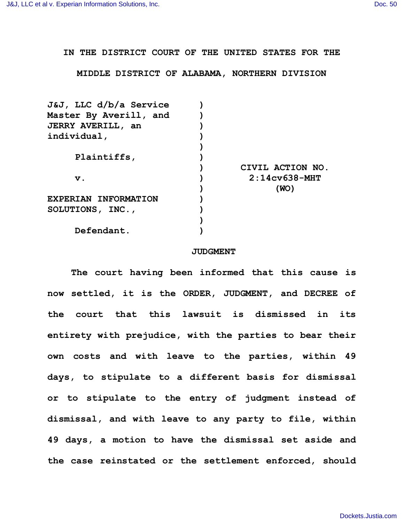**IN THE DISTRICT COURT OF THE UNITED STATES FOR THE**

**MIDDLE DISTRICT OF ALABAMA, NORTHERN DIVISION**

| J&J, LLC d/b/a Service      |                  |
|-----------------------------|------------------|
| Master By Averill, and      |                  |
| <b>JERRY AVERILL, an</b>    |                  |
| individual,                 |                  |
|                             |                  |
| Plaintiffs,                 |                  |
|                             | CIVIL ACTION NO. |
| v.                          | $2:14c$ v638-MHT |
|                             | (WO)             |
| <b>EXPERIAN INFORMATION</b> |                  |
| SOLUTIONS, INC.,            |                  |
|                             |                  |
| Defendant.                  |                  |
|                             |                  |

## **JUDGMENT**

**The court having been informed that this cause is now settled, it is the ORDER, JUDGMENT, and DECREE of the court that this lawsuit is dismissed in its entirety with prejudice, with the parties to bear their own costs and with leave to the parties, within 49 days, to stipulate to a different basis for dismissal or to stipulate to the entry of judgment instead of dismissal, and with leave to any party to file, within 49 days, a motion to have the dismissal set aside and the case reinstated or the settlement enforced, should**